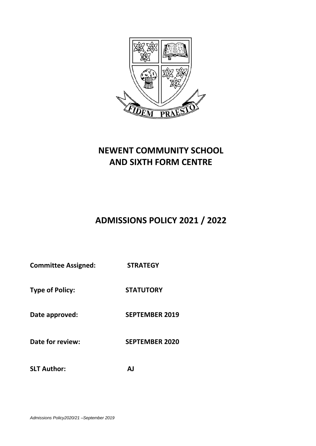

# **NEWENT COMMUNITY SCHOOL AND SIXTH FORM CENTRE**

# **ADMISSIONS POLICY 2021 / 2022**

**Committee Assigned: STRATEGY**

**Type of Policy: STATUTORY** 

**Date approved: SEPTEMBER 2019**

**Date for review: SEPTEMBER 2020**

**SLT Author: AJ**

*Admissions Policy2020/21 –September 2019*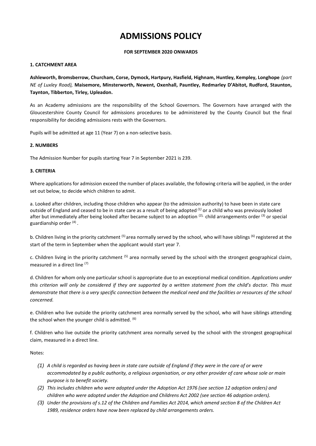# **ADMISSIONS POLICY**

### **FOR SEPTEMBER 2020 ONWARDS**

# **1. CATCHMENT AREA**

**Ashleworth, Bromsberrow, Churcham, Corse, Dymock, Hartpury, Hasfield, Highnam, Huntley, Kempley, Longhope** *(part NE of Luxley Road),* **Maisemore, Minsterworth, Newent, Oxenhall, Pauntley, Redmarley D'Abitot, Rudford, Staunton, Taynton, Tibberton, Tirley, Upleadon.** 

As an Academy admissions are the responsibility of the School Governors. The Governors have arranged with the Gloucestershire County Council for admissions procedures to be administered by the County Council but the final responsibility for deciding admissions rests with the Governors.

Pupils will be admitted at age 11 (Year 7) on a non-selective basis.

# **2. NUMBERS**

The Admission Number for pupils starting Year 7 in September 2021 is 239.

### **3. CRITERIA**

Where applications for admission exceed the number of places available, the following criteria will be applied, in the order set out below, to decide which children to admit.

a. Looked after children, including those children who appear (to the admission authority) to have been in state care outside of England and ceased to be in state care as a result of being adopted *(1)* or a child who was previously looked after but immediately after being looked after became subject to an adoption  $(2)$ , child arrangements order  $(3)$  or special guardianship order (4) *.*

b. Children living in the priority catchment <sup>(5)</sup> area normally served by the school, who will have siblings <sup>(6)</sup> registered at the start of the term in September when the applicant would start year 7.

c. Children living in the priority catchment  $(5)$  area normally served by the school with the strongest geographical claim, measured in a direct line (7)

d. Children for whom only one particular school is appropriate due to an exceptional medical condition. *Applications under this criterion will only be considered if they are supported by a written statement from the child's doctor. This must demonstrate that there is a very specific connection between the medical need and the facilities or resources of the school concerned.* 

e. Children who live outside the priority catchment area normally served by the school, who will have siblings attending the school when the younger child is admitted. (6)

f. Children who live outside the priority catchment area normally served by the school with the strongest geographical claim, measured in a direct line.

#### Notes:

- *(1) A child is regarded as having been in state care outside of England if they were in the care of or were accommodated by a public authority, a religious organisation, or any other provider of care whose sole or main purpose is to benefit society.*
- *(2) This includes children who were adopted under the Adoption Act 1976 (see section 12 adoption orders) and children who were adopted under the Adoption and Childrens Act 2002 (see section 46 adoption orders).*
- *(3) Under the provisions of s.12 of the Children and Families Act 2014, which amend section 8 of the Children Act 1989, residence orders have now been replaced by child arrangements orders.*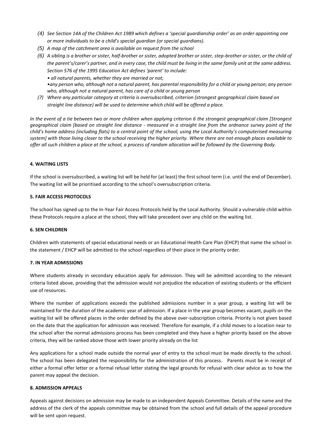- *(4) See Section 14A of the Children Act 1989 which defines a 'special guardianship order' as an order appointing one or more individuals to be a child's special guardian (or special guardians).*
- *(5) A map of the catchment area is available on request from the school*
- *(6) A sibling is a brother or sister, half-brother or sister, adopted brother or sister, step-brother or sister, or the child of the parent's/carer's partner, and in every case, the child must be living in the same family unit at the same address. Section 576 of the 1995 Education Act defines 'parent' to include:* 
	- *all natural parents, whether they are married or not; •any person who, although not a natural parent, has parental responsibility for a child or young person; any person who, although not a natural parent, has care of a child or young person*
- *(7) Where any particular category at criteria is oversubscribed, criterion (strongest geographical claim based on straight line distance) will be used to determine which child will be offered a place.*

*In the event of a tie between two or more children when applying criterion 6 the strongest geographical claim [Strongest geographical claim [based on straight line distance - measured in a straight line from the ordnance survey point of the child's home address (including flats) to a central point of the school, using the Local Authority's computerised measuring system] with those living closer to the school receiving the higher priority. Where there are not enough places available to offer all such children a place at the school, a process of random allocation will be followed by the Governing Body.* 

# **4. WAITING LISTS**

If the school is oversubscribed, a waiting list will be held for (at least) the first school term (i.e. until the end of December). The waiting list will be prioritised according to the school's oversubscription criteria.

# **5. FAIR ACCESS PROTOCOLS**

The school has signed up to the In-Year Fair Access Protocols held by the Local Authority. Should a vulnerable child within these Protocols require a place at the school, they will take precedent over any child on the waiting list.

# **6. SEN CHILDREN**

Children with statements of special educational needs or an Educational Health Care Plan (EHCP) that name the school in the statement / EHCP will be admitted to the school regardless of their place in the priority order.

# **7. IN YEAR ADMISSIONS**

Where students already in secondary education apply for admission. They will be admitted according to the relevant criteria listed above, providing that the admission would not prejudice the education of existing students or the efficient use of resources.

Where the number of applications exceeds the published admissions number in a year group, a waiting list will be maintained for the duration of the academic year of admission. If a place in the year group becomes vacant, pupils on the waiting list will be offered places in the order defined by the above over-subscription criteria. Priority is not given based on the date that the application for admission was received. Therefore for example, if a child moves to a location near to the school after the normal admissions process has been completed and they have a higher priority based on the above criteria, they will be ranked above those with lower priority already on the list

Any applications for a school made outside the normal year of entry to the school must be made directly to the school. The school has been delegated the responsibility for the administration of this process. Parents must be in receipt of either a formal offer letter or a formal refusal letter stating the legal grounds for refusal with clear advice as to how the parent may appeal the decision.

# **8. ADMISSION APPEALS**

Appeals against decisions on admission may be made to an independent Appeals Committee. Details of the name and the address of the clerk of the appeals committee may be obtained from the school and full details of the appeal procedure will be sent upon request.